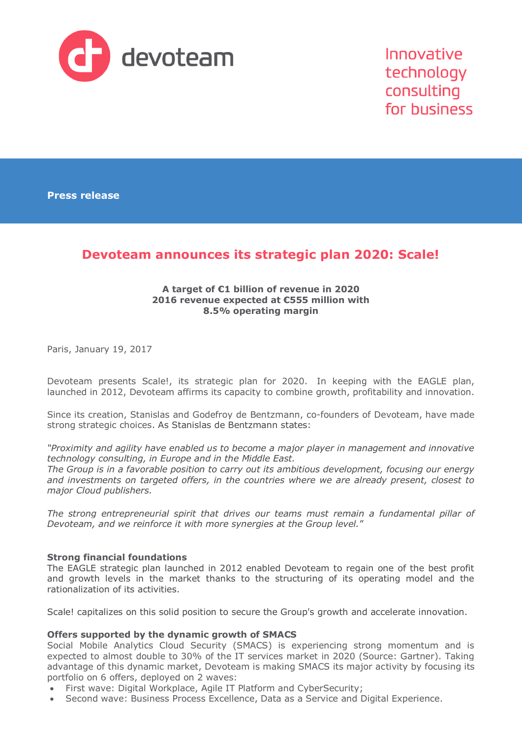

Innovative technology consulting for business

**Press release**

# **Devoteam announces its strategic plan 2020: Scale!**

## **A target of €1 billion of revenue in 2020 2016 revenue expected at €555 million with 8.5% operating margin**

Paris, January 19, 2017

Devoteam presents Scale!, its strategic plan for 2020. In keeping with the EAGLE plan, launched in 2012, Devoteam affirms its capacity to combine growth, profitability and innovation.

Since its creation, Stanislas and Godefroy de Bentzmann, co-founders of Devoteam, have made strong strategic choices. As Stanislas de Bentzmann states:

*"Proximity and agility have enabled us to become a major player in management and innovative technology consulting, in Europe and in the Middle East.*

*The Group is in a favorable position to carry out its ambitious development, focusing our energy and investments on targeted offers, in the countries where we are already present, closest to major Cloud publishers.*

*The strong entrepreneurial spirit that drives our teams must remain a fundamental pillar of Devoteam, and we reinforce it with more synergies at the Group level.*"

### **Strong financial foundations**

The EAGLE strategic plan launched in 2012 enabled Devoteam to regain one of the best profit and growth levels in the market thanks to the structuring of its operating model and the rationalization of its activities.

Scale! capitalizes on this solid position to secure the Group's growth and accelerate innovation.

## **Offers supported by the dynamic growth of SMACS**

Social Mobile Analytics Cloud Security (SMACS) is experiencing strong momentum and is expected to almost double to 30% of the IT services market in 2020 (Source: Gartner). Taking advantage of this dynamic market, Devoteam is making SMACS its major activity by focusing its portfolio on 6 offers, deployed on 2 waves:

- First wave: Digital Workplace, Agile IT Platform and CyberSecurity;
- Second wave: Business Process Excellence, Data as a Service and Digital Experience.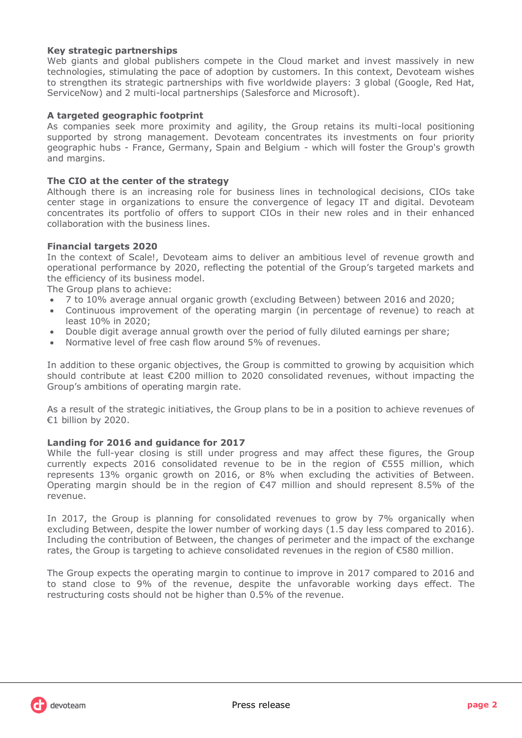## **Key strategic partnerships**

Web giants and global publishers compete in the Cloud market and invest massively in new technologies, stimulating the pace of adoption by customers. In this context, Devoteam wishes to strengthen its strategic partnerships with five worldwide players: 3 global (Google, Red Hat, ServiceNow) and 2 multi-local partnerships (Salesforce and Microsoft).

## **A targeted geographic footprint**

As companies seek more proximity and agility, the Group retains its multi-local positioning supported by strong management. Devoteam concentrates its investments on four priority geographic hubs - France, Germany, Spain and Belgium - which will foster the Group's growth and margins.

### **The CIO at the center of the strategy**

Although there is an increasing role for business lines in technological decisions, CIOs take center stage in organizations to ensure the convergence of legacy IT and digital. Devoteam concentrates its portfolio of offers to support CIOs in their new roles and in their enhanced collaboration with the business lines.

## **Financial targets 2020**

In the context of Scale!, Devoteam aims to deliver an ambitious level of revenue growth and operational performance by 2020, reflecting the potential of the Group's targeted markets and the efficiency of its business model.

The Group plans to achieve:

- 7 to 10% average annual organic growth (excluding Between) between 2016 and 2020;
- Continuous improvement of the operating margin (in percentage of revenue) to reach at least 10% in 2020;
- Double digit average annual growth over the period of fully diluted earnings per share;
- Normative level of free cash flow around 5% of revenues.

In addition to these organic objectives, the Group is committed to growing by acquisition which should contribute at least €200 million to 2020 consolidated revenues, without impacting the Group's ambitions of operating margin rate.

As a result of the strategic initiatives, the Group plans to be in a position to achieve revenues of €1 billion by 2020.

### **Landing for 2016 and guidance for 2017**

While the full-year closing is still under progress and may affect these figures, the Group currently expects 2016 consolidated revenue to be in the region of €555 million, which represents 13% organic growth on 2016, or 8% when excluding the activities of Between. Operating margin should be in the region of  $\epsilon$ 47 million and should represent 8.5% of the revenue.

In 2017, the Group is planning for consolidated revenues to grow by 7% organically when excluding Between, despite the lower number of working days (1.5 day less compared to 2016). Including the contribution of Between, the changes of perimeter and the impact of the exchange rates, the Group is targeting to achieve consolidated revenues in the region of €580 million.

The Group expects the operating margin to continue to improve in 2017 compared to 2016 and to stand close to 9% of the revenue, despite the unfavorable working days effect. The restructuring costs should not be higher than 0.5% of the revenue.

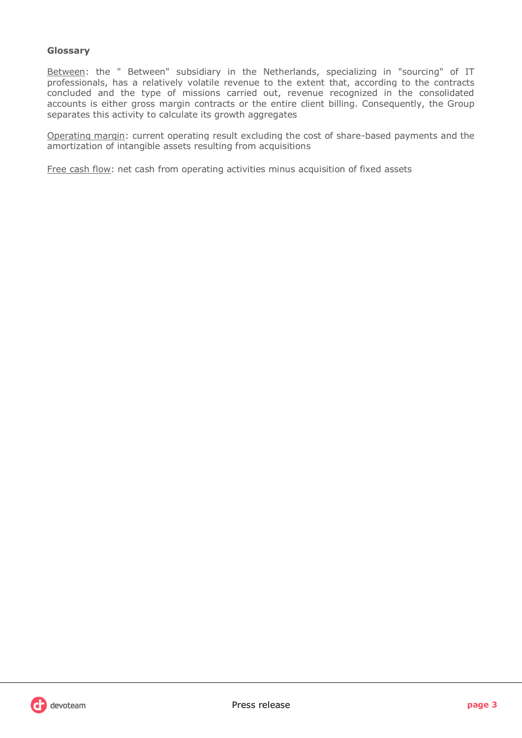# **Glossary**

Between: the " Between" subsidiary in the Netherlands, specializing in "sourcing" of IT professionals, has a relatively volatile revenue to the extent that, according to the contracts concluded and the type of missions carried out, revenue recognized in the consolidated accounts is either gross margin contracts or the entire client billing. Consequently, the Group separates this activity to calculate its growth aggregates

Operating margin: current operating result excluding the cost of share-based payments and the amortization of intangible assets resulting from acquisitions

Free cash flow: net cash from operating activities minus acquisition of fixed assets